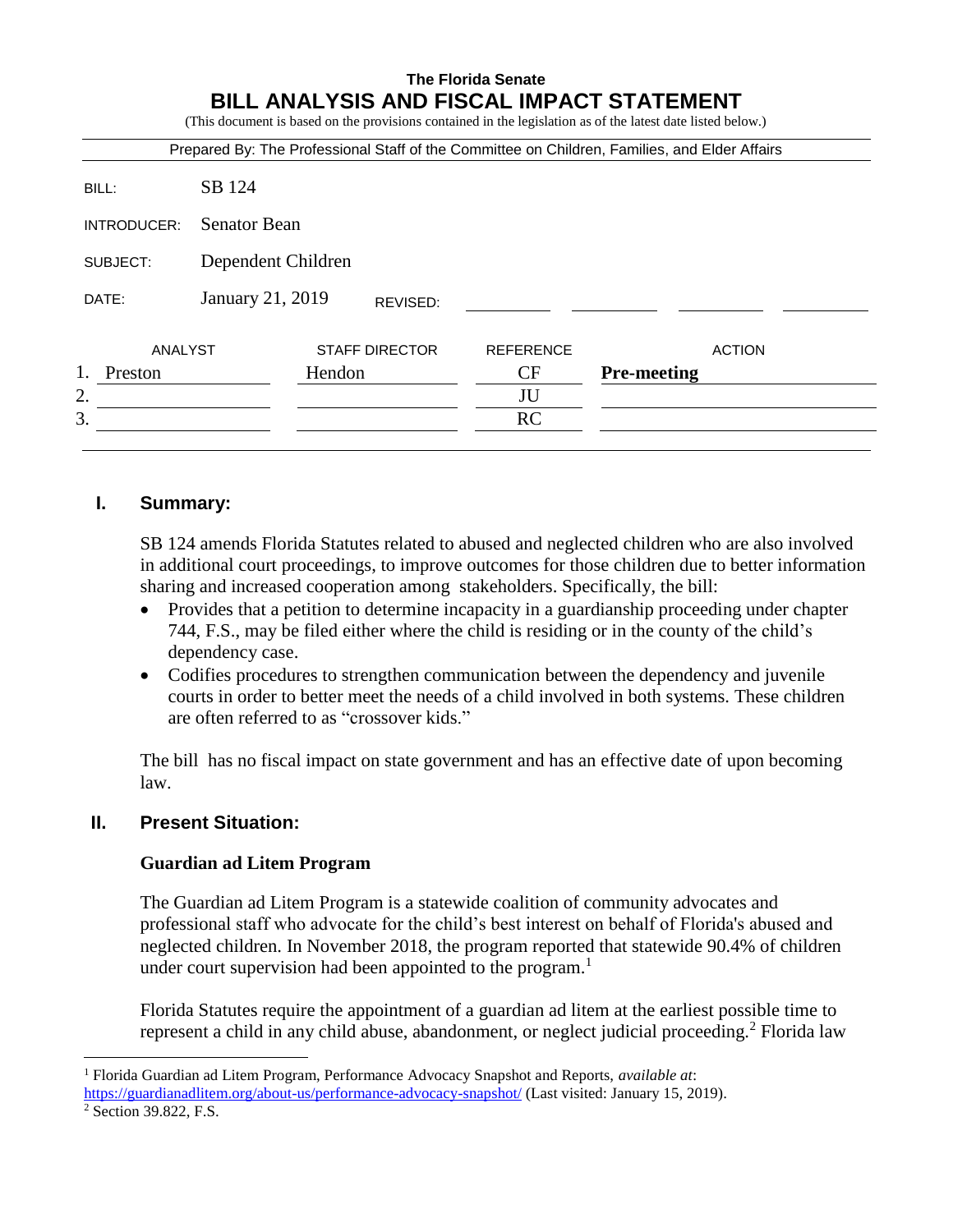# **The Florida Senate BILL ANALYSIS AND FISCAL IMPACT STATEMENT**

(This document is based on the provisions contained in the legislation as of the latest date listed below.)

| Prepared By: The Professional Staff of the Committee on Children, Families, and Elder Affairs |                              |                       |  |                  |                    |  |
|-----------------------------------------------------------------------------------------------|------------------------------|-----------------------|--|------------------|--------------------|--|
| BILL:                                                                                         | SB 124                       |                       |  |                  |                    |  |
| INTRODUCER:                                                                                   | <b>Senator Bean</b>          |                       |  |                  |                    |  |
| SUBJECT:                                                                                      | Dependent Children           |                       |  |                  |                    |  |
| DATE:                                                                                         | January 21, 2019<br>REVISED: |                       |  |                  |                    |  |
| ANALYST                                                                                       |                              | <b>STAFF DIRECTOR</b> |  | <b>REFERENCE</b> | <b>ACTION</b>      |  |
| 1.<br>Preston                                                                                 |                              | Hendon                |  | CF               | <b>Pre-meeting</b> |  |
| 2.                                                                                            |                              |                       |  | JU               |                    |  |
| 3.                                                                                            |                              |                       |  | <b>RC</b>        |                    |  |
|                                                                                               |                              |                       |  |                  |                    |  |

## **I. Summary:**

SB 124 amends Florida Statutes related to abused and neglected children who are also involved in additional court proceedings, to improve outcomes for those children due to better information sharing and increased cooperation among stakeholders. Specifically, the bill:

- Provides that a petition to determine incapacity in a guardianship proceeding under chapter 744, F.S., may be filed either where the child is residing or in the county of the child's dependency case.
- Codifies procedures to strengthen communication between the dependency and juvenile courts in order to better meet the needs of a child involved in both systems. These children are often referred to as "crossover kids."

The bill has no fiscal impact on state government and has an effective date of upon becoming law.

## **II. Present Situation:**

## **Guardian ad Litem Program**

The Guardian ad Litem Program is a statewide coalition of community advocates and professional staff who advocate for the child's best interest on behalf of Florida's abused and neglected children. In November 2018, the program reported that statewide 90.4% of children under court supervision had been appointed to the program.<sup>1</sup>

Florida Statutes require the appointment of a guardian ad litem at the earliest possible time to represent a child in any child abuse, abandonment, or neglect judicial proceeding.<sup>2</sup> Florida law

 $\overline{a}$ 

<sup>1</sup> Florida Guardian ad Litem Program, Performance Advocacy Snapshot and Reports, *available at*: <https://guardianadlitem.org/about-us/performance-advocacy-snapshot/> (Last visited: January 15, 2019).

<sup>&</sup>lt;sup>2</sup> Section 39.822, F.S.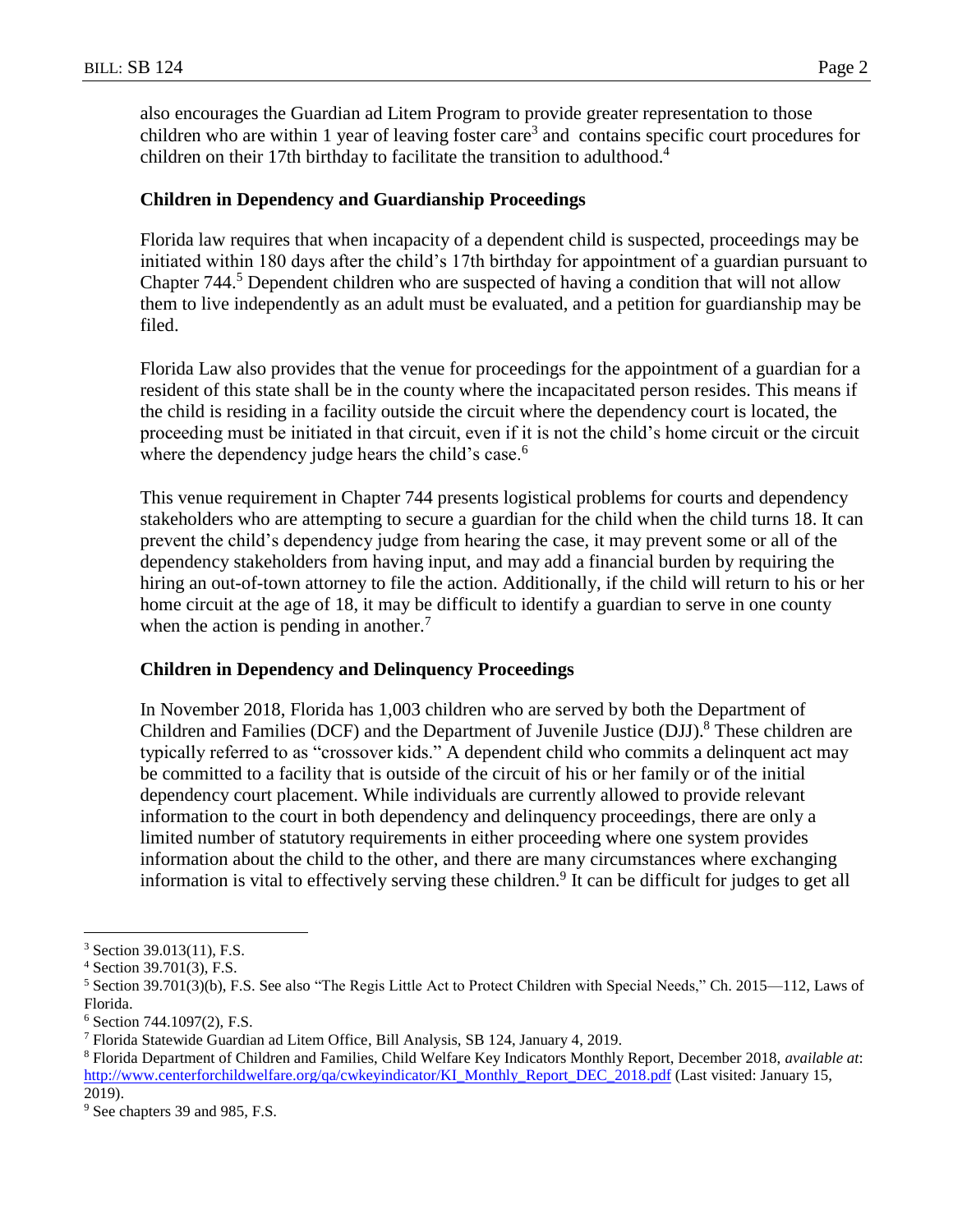also encourages the Guardian ad Litem Program to provide greater representation to those children who are within 1 year of leaving foster care<sup>3</sup> and contains specific court procedures for children on their 17th birthday to facilitate the transition to adulthood.<sup>4</sup>

## **Children in Dependency and Guardianship Proceedings**

Florida law requires that when incapacity of a dependent child is suspected, proceedings may be initiated within 180 days after the child's 17th birthday for appointment of a guardian pursuant to Chapter 744.<sup>5</sup> Dependent children who are suspected of having a condition that will not allow them to live independently as an adult must be evaluated, and a petition for guardianship may be filed.

Florida Law also provides that the venue for proceedings for the appointment of a guardian for a resident of this state shall be in the county where the incapacitated person resides. This means if the child is residing in a facility outside the circuit where the dependency court is located, the proceeding must be initiated in that circuit, even if it is not the child's home circuit or the circuit where the dependency judge hears the child's case. $6$ 

This venue requirement in Chapter 744 presents logistical problems for courts and dependency stakeholders who are attempting to secure a guardian for the child when the child turns 18. It can prevent the child's dependency judge from hearing the case, it may prevent some or all of the dependency stakeholders from having input, and may add a financial burden by requiring the hiring an out-of-town attorney to file the action. Additionally, if the child will return to his or her home circuit at the age of 18, it may be difficult to identify a guardian to serve in one county when the action is pending in another.<sup>7</sup>

## **Children in Dependency and Delinquency Proceedings**

In November 2018, Florida has 1,003 children who are served by both the Department of Children and Families (DCF) and the Department of Juvenile Justice (DJJ).<sup>8</sup> These children are typically referred to as "crossover kids." A dependent child who commits a delinquent act may be committed to a facility that is outside of the circuit of his or her family or of the initial dependency court placement. While individuals are currently allowed to provide relevant information to the court in both dependency and delinquency proceedings, there are only a limited number of statutory requirements in either proceeding where one system provides information about the child to the other, and there are many circumstances where exchanging information is vital to effectively serving these children.<sup>9</sup> It can be difficult for judges to get all

 $\overline{a}$ 

<sup>3</sup> Section 39.013(11), F.S.

<sup>4</sup> Section 39.701(3), F.S.

<sup>5</sup> Section 39.701(3)(b), F.S. See also "The Regis Little Act to Protect Children with Special Needs," Ch. 2015—112, Laws of Florida.

 $6$  Section 744.1097(2), F.S.

<sup>7</sup> Florida Statewide Guardian ad Litem Office, Bill Analysis, SB 124, January 4, 2019.

<sup>8</sup> Florida Department of Children and Families, Child Welfare Key Indicators Monthly Report, December 2018, *available at*: [http://www.centerforchildwelfare.org/qa/cwkeyindicator/KI\\_Monthly\\_Report\\_DEC\\_2018.pdf](http://www.centerforchildwelfare.org/qa/cwkeyindicator/KI_Monthly_Report_DEC_2018.pdf) (Last visited: January 15, 2019).

<sup>&</sup>lt;sup>9</sup> See chapters 39 and 985, F.S.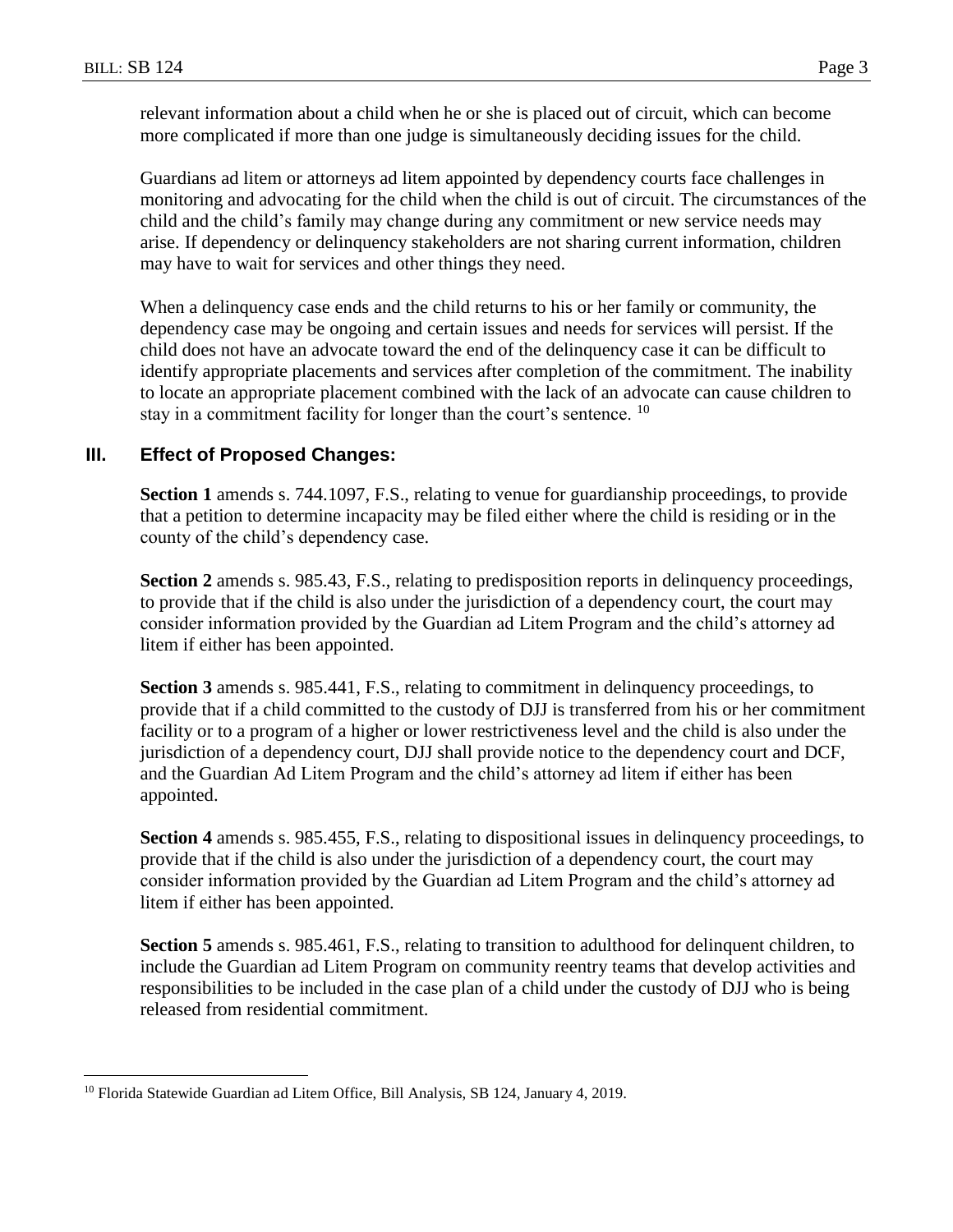$\overline{a}$ 

relevant information about a child when he or she is placed out of circuit, which can become more complicated if more than one judge is simultaneously deciding issues for the child.

Guardians ad litem or attorneys ad litem appointed by dependency courts face challenges in monitoring and advocating for the child when the child is out of circuit. The circumstances of the child and the child's family may change during any commitment or new service needs may arise. If dependency or delinquency stakeholders are not sharing current information, children may have to wait for services and other things they need.

When a delinquency case ends and the child returns to his or her family or community, the dependency case may be ongoing and certain issues and needs for services will persist. If the child does not have an advocate toward the end of the delinquency case it can be difficult to identify appropriate placements and services after completion of the commitment. The inability to locate an appropriate placement combined with the lack of an advocate can cause children to stay in a commitment facility for longer than the court's sentence. <sup>10</sup>

## **III. Effect of Proposed Changes:**

**Section 1** amends s. 744.1097, F.S., relating to venue for guardianship proceedings, to provide that a petition to determine incapacity may be filed either where the child is residing or in the county of the child's dependency case.

**Section 2** amends s. 985.43, F.S., relating to predisposition reports in delinquency proceedings, to provide that if the child is also under the jurisdiction of a dependency court, the court may consider information provided by the Guardian ad Litem Program and the child's attorney ad litem if either has been appointed.

**Section 3** amends s. 985.441, F.S., relating to commitment in delinquency proceedings, to provide that if a child committed to the custody of DJJ is transferred from his or her commitment facility or to a program of a higher or lower restrictiveness level and the child is also under the jurisdiction of a dependency court, DJJ shall provide notice to the dependency court and DCF, and the Guardian Ad Litem Program and the child's attorney ad litem if either has been appointed.

**Section 4** amends s. 985.455, F.S., relating to dispositional issues in delinquency proceedings, to provide that if the child is also under the jurisdiction of a dependency court, the court may consider information provided by the Guardian ad Litem Program and the child's attorney ad litem if either has been appointed.

**Section 5** amends s. 985.461, F.S., relating to transition to adulthood for delinquent children, to include the Guardian ad Litem Program on community reentry teams that develop activities and responsibilities to be included in the case plan of a child under the custody of DJJ who is being released from residential commitment.

<sup>&</sup>lt;sup>10</sup> Florida Statewide Guardian ad Litem Office, Bill Analysis, SB 124, January 4, 2019.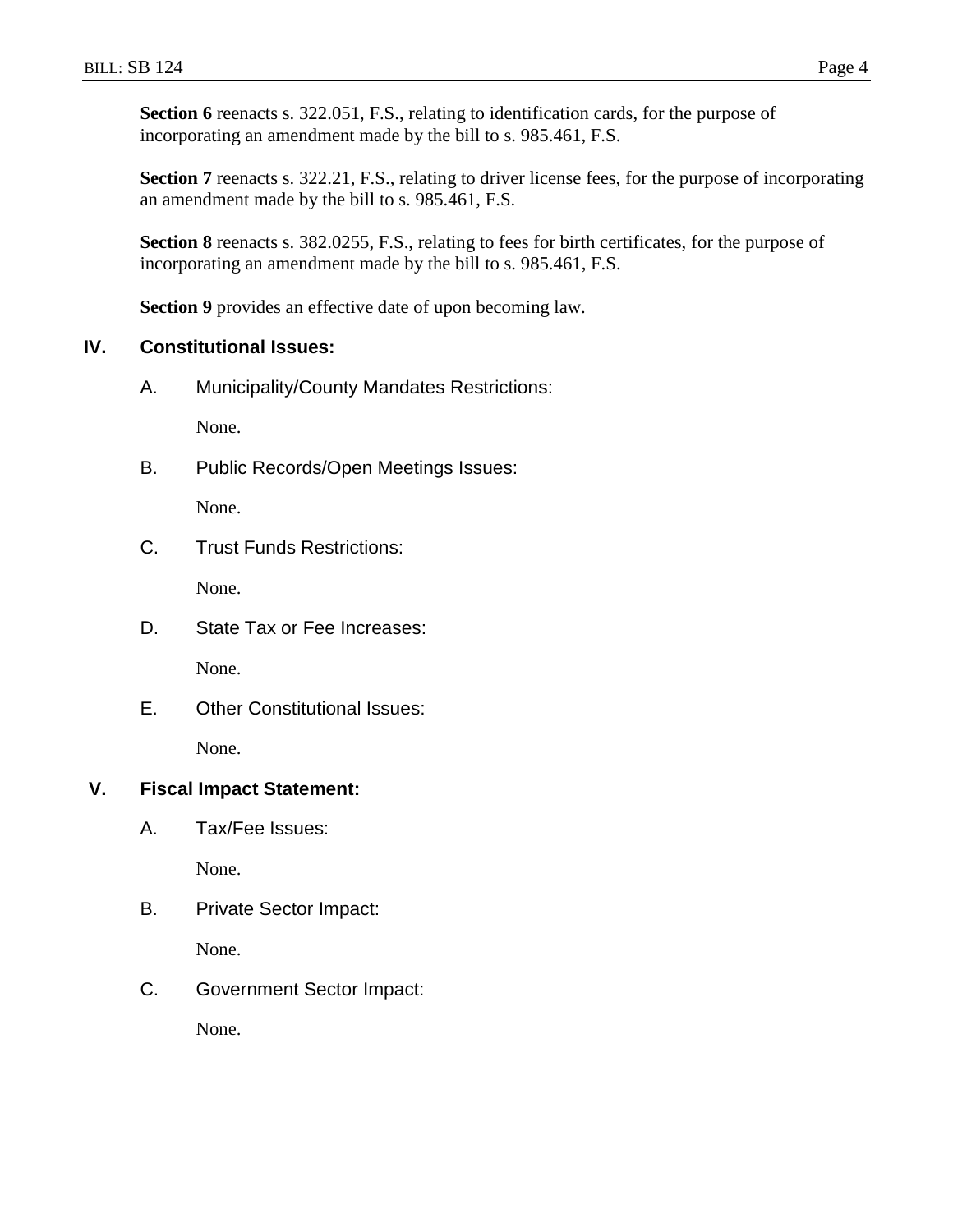Section 6 reenacts s. 322.051, F.S., relating to identification cards, for the purpose of incorporating an amendment made by the bill to s. 985.461, F.S.

**Section 7** reenacts s. 322.21, F.S., relating to driver license fees, for the purpose of incorporating an amendment made by the bill to s. 985.461, F.S.

**Section 8** reenacts s. 382.0255, F.S., relating to fees for birth certificates, for the purpose of incorporating an amendment made by the bill to s. 985.461, F.S.

**Section 9** provides an effective date of upon becoming law.

## **IV. Constitutional Issues:**

A. Municipality/County Mandates Restrictions:

None.

B. Public Records/Open Meetings Issues:

None.

C. Trust Funds Restrictions:

None.

D. State Tax or Fee Increases:

None.

E. Other Constitutional Issues: None.

# **V. Fiscal Impact Statement:**

A. Tax/Fee Issues:

None.

B. Private Sector Impact:

None.

C. Government Sector Impact:

None.